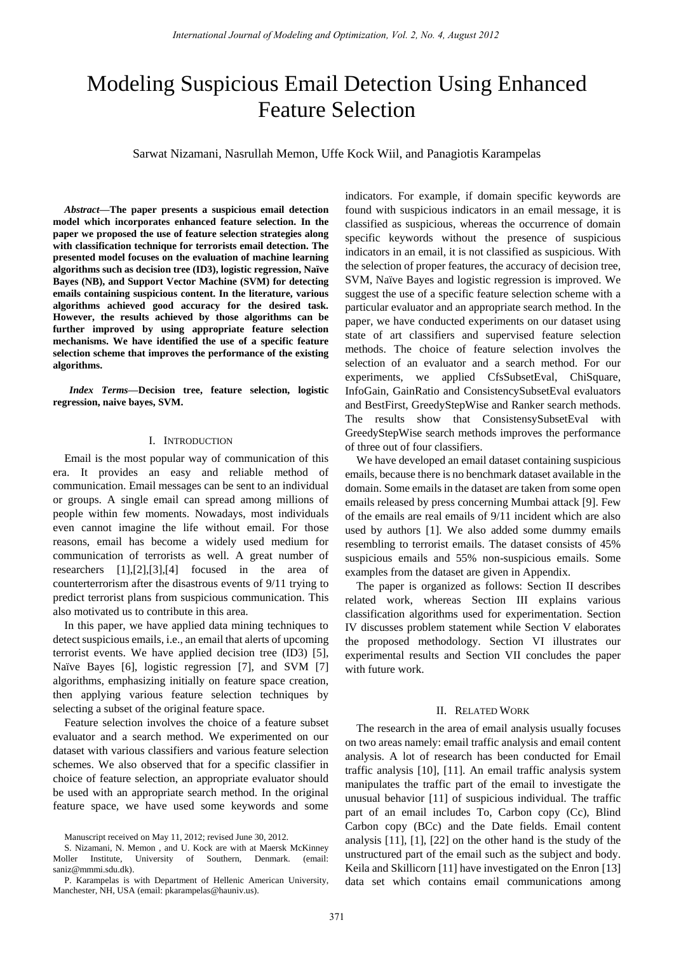# Modeling Suspicious Email Detection Using Enhanced Feature Selection

Sarwat Nizamani, Nasrullah Memon, Uffe Kock Wiil, and Panagiotis Karampelas

*Abstract***—The paper presents a suspicious email detection model which incorporates enhanced feature selection. In the paper we proposed the use of feature selection strategies along with classification technique for terrorists email detection. The presented model focuses on the evaluation of machine learning algorithms such as decision tree (ID3), logistic regression, Naïve Bayes (NB), and Support Vector Machine (SVM) for detecting emails containing suspicious content. In the literature, various algorithms achieved good accuracy for the desired task. However, the results achieved by those algorithms can be further improved by using appropriate feature selection mechanisms. We have identified the use of a specific feature selection scheme that improves the performance of the existing algorithms.** 

*Index Terms—***Decision tree, feature selection, logistic regression, naive bayes, SVM.** 

### I. INTRODUCTION

Email is the most popular way of communication of this era. It provides an easy and reliable method of communication. Email messages can be sent to an individual or groups. A single email can spread among millions of people within few moments. Nowadays, most individuals even cannot imagine the life without email. For those reasons, email has become a widely used medium for communication of terrorists as well. A great number of researchers [1],[2],[3],[4] focused in the area of counterterrorism after the disastrous events of 9/11 trying to predict terrorist plans from suspicious communication. This also motivated us to contribute in this area.

In this paper, we have applied data mining techniques to detect suspicious emails, i.e., an email that alerts of upcoming terrorist events. We have applied decision tree (ID3) [5], Na ive Bayes [6], logistic regression [7], and SVM [7] algorithms, emphasizing initially on feature space creation, then applying various feature selection techniques by selecting a subset of the original feature space.

Feature selection involves the choice of a feature subset evaluator and a search method. We experimented on our dataset with various classifiers and various feature selection schemes. We also observed that for a specific classifier in choice of feature selection, an appropriate evaluator should be used with an appropriate search method. In the original feature space, we have used some keywords and some

indicators. For example, if domain specific keywords are found with suspicious indicators in an email message, it is classified as suspicious, whereas the occurrence of domain specific keywords without the presence of suspicious indicators in an email, it is not classified as suspicious. With the selection of proper features, the accuracy of decision tree, SVM, Na we Bayes and logistic regression is improved. We suggest the use of a specific feature selection scheme with a particular evaluator and an appropriate search method. In the paper, we have conducted experiments on our dataset using state of art classifiers and supervised feature selection methods. The choice of feature selection involves the selection of an evaluator and a search method. For our experiments, we applied CfsSubsetEval, ChiSquare, InfoGain, GainRatio and ConsistencySubsetEval evaluators and BestFirst, GreedyStepWise and Ranker search methods. The results show that ConsistensySubsetEval with GreedyStepWise search methods improves the performance of three out of four classifiers.

We have developed an email dataset containing suspicious emails, because there is no benchmark dataset available in the domain. Some emails in the dataset are taken from some open emails released by press concerning Mumbai attack [9]. Few of the emails are real emails of 9/11 incident which are also used by authors [1]. We also added some dummy emails resembling to terrorist emails. The dataset consists of 45% suspicious emails and 55% non-suspicious emails. Some examples from the dataset are given in Appendix.

The paper is organized as follows: Section II describes related work, whereas Section III explains various classification algorithms used for experimentation. Section IV discusses problem statement while Section V elaborates the proposed methodology. Section VI illustrates our experimental results and Section VII concludes the paper with future work.

#### II. RELATED WORK

The research in the area of email analysis usually focuses on two areas namely: email traffic analysis and email content analysis. A lot of research has been conducted for Email traffic analysis [10], [11]. An email traffic analysis system manipulates the traffic part of the email to investigate the unusual behavior [11] of suspicious individual. The traffic part of an email includes To, Carbon copy (Cc), Blind Carbon copy (BCc) and the Date fields. Email content analysis [11], [1], [22] on the other hand is the study of the unstructured part of the email such as the subject and body. Keila and Skillicorn [11] have investigated on the Enron [13] data set which contains email communications among

Manuscript received on May 11, 2012; revised June 30, 2012.

S. Nizamani, N. Memon , and U. Kock are with at Maersk McKinney Moller Institute, University of Southern, Denmark. (email: saniz@mmmi.sdu.dk).

P. Karampelas is with Department of Hellenic American University, Manchester, NH, USA (email: pkarampelas@hauniv.us).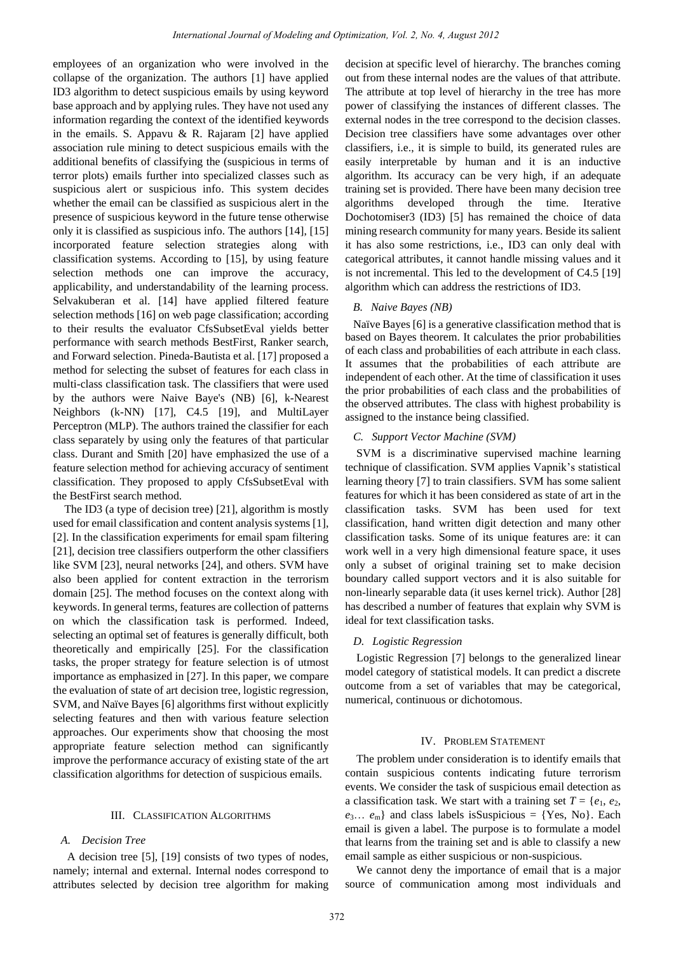employees of an organization who were involved in the collapse of the organization. The authors [1] have applied ID3 algorithm to detect suspicious emails by using keyword base approach and by applying rules. They have not used any information regarding the context of the identified keywords in the emails. S. Appavu & R. Rajaram  $[2]$  have applied association rule mining to detect suspicious emails with the additional benefits of classifying the (suspicious in terms of terror plots) emails further into specialized classes such as suspicious alert or suspicious info. This system decides whether the email can be classified as suspicious alert in the presence of suspicious keyword in the future tense otherwise only it is classified as suspicious info. The authors [14], [15] incorporated feature selection strategies along with classification systems. According to [15], by using feature selection methods one can improve the accuracy, applicability, and understandability of the learning process. Selvakuberan et al. [14] have applied filtered feature selection methods [16] on web page classification; according to their results the evaluator CfsSubsetEval yields better performance with search methods BestFirst, Ranker search, and Forward selection. Pineda-Bautista et al. [17] proposed a method for selecting the subset of features for each class in multi-class classification task. The classifiers that were used by the authors were Naive Baye's (NB) [6], k-Nearest Neighbors (k-NN) [17], C4.5 [19], and MultiLayer Perceptron (MLP). The authors trained the classifier for each class separately by using only the features of that particular class. Durant and Smith [20] have emphasized the use of a feature selection method for achieving accuracy of sentiment classification. They proposed to apply CfsSubsetEval with the BestFirst search method.

The ID3 (a type of decision tree) [21], algorithm is mostly used for email classification and content analysis systems [1], [2]. In the classification experiments for email spam filtering [21], decision tree classifiers outperform the other classifiers like SVM [23], neural networks [24], and others. SVM have also been applied for content extraction in the terrorism domain [25]. The method focuses on the context along with keywords. In general terms, features are collection of patterns on which the classification task is performed. Indeed, selecting an optimal set of features is generally difficult, both theoretically and empirically [25]. For the classification tasks, the proper strategy for feature selection is of utmost importance as emphasized in [27]. In this paper, we compare the evaluation of state of art decision tree, logistic regression, SVM, and Na  $\ddot{v}e$  Bayes [6] algorithms first without explicitly selecting features and then with various feature selection approaches. Our experiments show that choosing the most appropriate feature selection method can significantly improve the performance accuracy of existing state of the art classification algorithms for detection of suspicious emails.

#### III. CLASSIFICATION ALGORITHMS

### *A. Decision Tree*

 A decision tree [5], [19] consists of two types of nodes, namely; internal and external. Internal nodes correspond to attributes selected by decision tree algorithm for making decision at specific level of hierarchy. The branches coming out from these internal nodes are the values of that attribute. The attribute at top level of hierarchy in the tree has more power of classifying the instances of different classes. The external nodes in the tree correspond to the decision classes. Decision tree classifiers have some advantages over other classifiers, i.e., it is simple to build, its generated rules are easily interpretable by human and it is an inductive algorithm. Its accuracy can be very high, if an adequate training set is provided. There have been many decision tree algorithms developed through the time. Iterative Dochotomiser3 (ID3) [5] has remained the choice of data mining research community for many years. Beside its salient it has also some restrictions, i.e., ID3 can only deal with categorical attributes, it cannot handle missing values and it is not incremental. This led to the development of C4.5 [19] algorithm which can address the restrictions of ID3.

# *B. Naive Bayes (NB)*

Na ïve Bayes [6] is a generative classification method that is based on Bayes theorem. It calculates the prior probabilities of each class and probabilities of each attribute in each class. It assumes that the probabilities of each attribute are independent of each other. At the time of classification it uses the prior probabilities of each class and the probabilities of the observed attributes. The class with highest probability is assigned to the instance being classified.

#### *C. Support Vector Machine (SVM)*

SVM is a discriminative supervised machine learning technique of classification. SVM applies Vapnik's statistical learning theory [7] to train classifiers. SVM has some salient features for which it has been considered as state of art in the classification tasks. SVM has been used for text classification, hand written digit detection and many other classification tasks. Some of its unique features are: it can work well in a very high dimensional feature space, it uses only a subset of original training set to make decision boundary called support vectors and it is also suitable for non-linearly separable data (it uses kernel trick). Author [28] has described a number of features that explain why SVM is ideal for text classification tasks.

# *D. Logistic Regression*

Logistic Regression [7] belongs to the generalized linear model category of statistical models. It can predict a discrete outcome from a set of variables that may be categorical, numerical, continuous or dichotomous.

## IV. PROBLEM STATEMENT

The problem under consideration is to identify emails that contain suspicious contents indicating future terrorism events. We consider the task of suspicious email detection as a classification task. We start with a training set  $T = \{e_1, e_2,$  $e_3... e_m$ } and class labels isSuspicious = {Yes, No}. Each email is given a label. The purpose is to formulate a model that learns from the training set and is able to classify a new email sample as either suspicious or non-suspicious.

We cannot deny the importance of email that is a major source of communication among most individuals and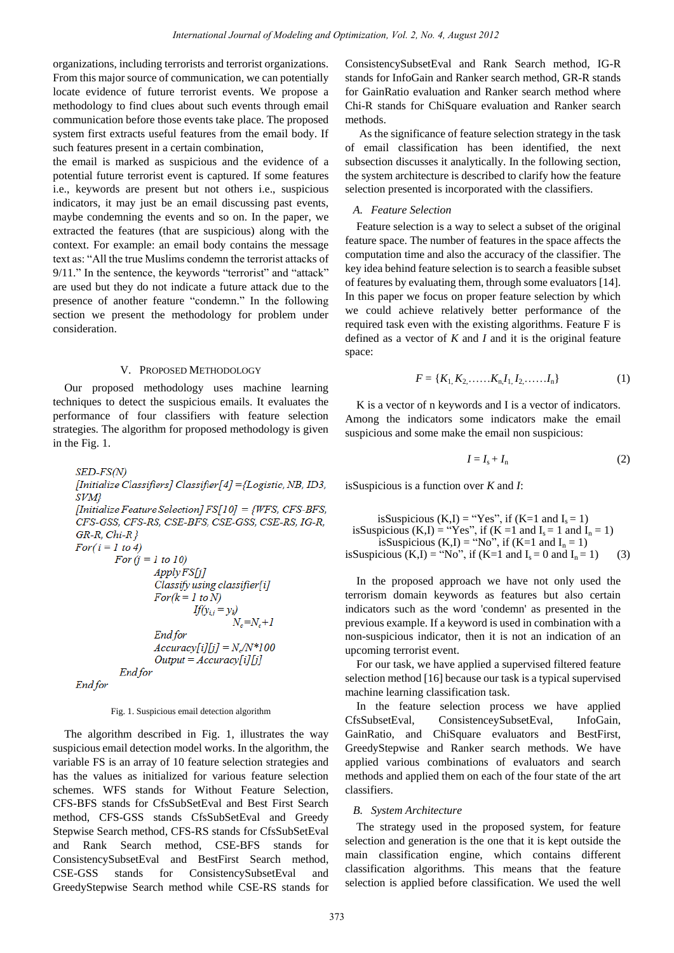organizations, including terrorists and terrorist organizations. From this major source of communication, we can potentially locate evidence of future terrorist events. We propose a methodology to find clues about such events through email communication before those events take place. The proposed system first extracts useful features from the email body. If such features present in a certain combination,

the email is marked as suspicious and the evidence of a potential future terrorist event is captured. If some features i.e., keywords are present but not others i.e., suspicious indicators, it may just be an email discussing past events, maybe condemning the events and so on. In the paper, we extracted the features (that are suspicious) along with the context. For example: an email body contains the message text as: "All the true Muslims condemn the terrorist attacks of 9/11." In the sentence, the keywords "terrorist" and "attack" are used but they do not indicate a future attack due to the presence of another feature "condemn." In the following section we present the methodology for problem under consideration.

## V. PROPOSED METHODOLOGY

Our proposed methodology uses machine learning techniques to detect the suspicious emails. It evaluates the performance of four classifiers with feature selection strategies. The algorithm for proposed methodology is given in the Fig. 1.

```
SED-FS(N)
[Initialize Classifiers] Classifier[4] = {Logistic, NB, ID3,
SVM}
[Initialize Feature Selection] FS[10] = {WFS, CFS-BFS,
CFS-GSS, CFS-RS, CSE-BFS, CSE-GSS, CSE-RS, IG-R,
GR-R, Chi-RFor(i = 1 to 4)For (i = 1 to 10)
                 Apply FS[j]Classify using classifier[i]
                 For (k = 1 to N)If(y_{ij} = y_k)N_e = N_e + IEnd for
                 Accuracy[i][j] = N_c/N*100Output = Accuracy[i][j]Endfor
Endfor
```
Fig. 1. Suspicious email detection algorithm

The algorithm described in Fig. 1, illustrates the way suspicious email detection model works. In the algorithm, the variable FS is an array of 10 feature selection strategies and has the values as initialized for various feature selection schemes. WFS stands for Without Feature Selection, CFS-BFS stands for CfsSubSetEval and Best First Search method, CFS-GSS stands CfsSubSetEval and Greedy Stepwise Search method, CFS-RS stands for CfsSubSetEval and Rank Search method, CSE-BFS stands for ConsistencySubsetEval and BestFirst Search method, CSE-GSS stands for ConsistencySubsetEval and GreedyStepwise Search method while CSE-RS stands for ConsistencySubsetEval and Rank Search method, IG-R stands for InfoGain and Ranker search method, GR-R stands for GainRatio evaluation and Ranker search method where Chi-R stands for ChiSquare evaluation and Ranker search methods.

 As the significance of feature selection strategy in the task of email classification has been identified, the next subsection discusses it analytically. In the following section, the system architecture is described to clarify how the feature selection presented is incorporated with the classifiers.

# *A. Feature Selection*

Feature selection is a way to select a subset of the original feature space. The number of features in the space affects the computation time and also the accuracy of the classifier. The key idea behind feature selection is to search a feasible subset of features by evaluating them, through some evaluators [14]. In this paper we focus on proper feature selection by which we could achieve relatively better performance of the required task even with the existing algorithms. Feature F is defined as a vector of *K* and *I* and it is the original feature space:

$$
F = \{K_1, K_2, \dots, K_n, I_1, I_2, \dots, I_n\}
$$
 (1)

K is a vector of n keywords and I is a vector of indicators. Among the indicators some indicators make the email suspicious and some make the email non suspicious:

$$
I = I_{\rm s} + I_{\rm n} \tag{2}
$$

isSuspicious is a function over *K* and *I*:

isSuspicious (K,I) = "Yes", if (K=1 and Is = 1) isSuspicious (K,I) = "Yes", if (K =1 and Is = 1 and In = 1) isSuspicious (K,I) = "No", if (K=1 and In = 1) isSuspicious (K,I) = "No", if (K=1 and Is = 0 and In = 1) (3)

In the proposed approach we have not only used the terrorism domain keywords as features but also certain indicators such as the word 'condemn' as presented in the previous example. If a keyword is used in combination with a non-suspicious indicator, then it is not an indication of an upcoming terrorist event.

For our task, we have applied a supervised filtered feature selection method [16] because our task is a typical supervised machine learning classification task.

In the feature selection process we have applied CfsSubsetEval, ConsistenceySubsetEval, InfoGain, GainRatio, and ChiSquare evaluators and BestFirst, GreedyStepwise and Ranker search methods. We have applied various combinations of evaluators and search methods and applied them on each of the four state of the art classifiers.

# *B. System Architecture*

The strategy used in the proposed system, for feature selection and generation is the one that it is kept outside the main classification engine, which contains different classification algorithms. This means that the feature selection is applied before classification. We used the well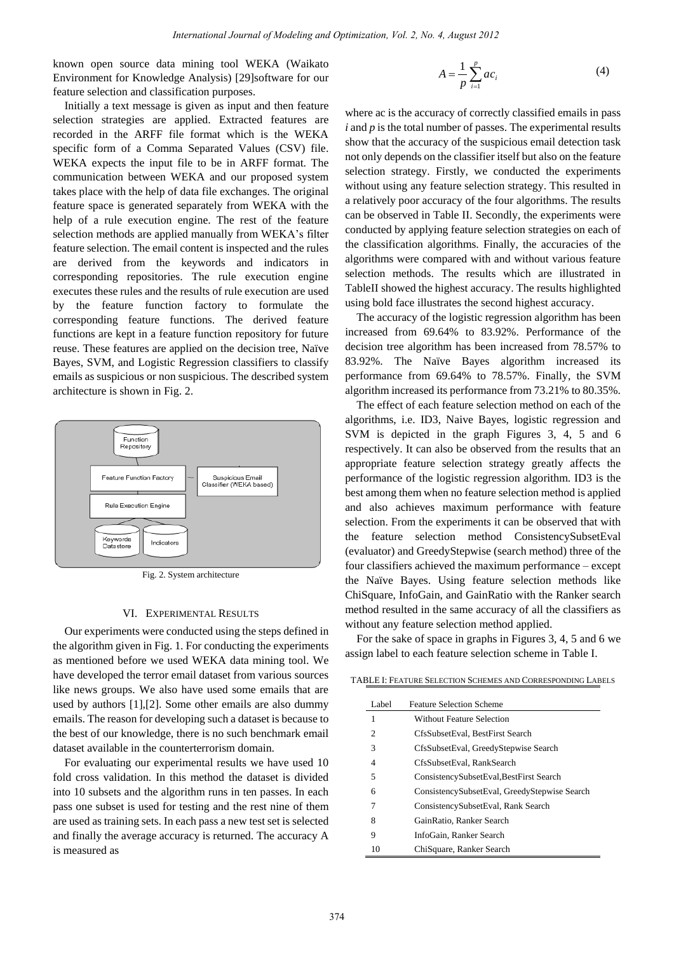known open source data mining tool WEKA (Waikato Environment for Knowledge Analysis) [29]software for our feature selection and classification purposes.

Initially a text message is given as input and then feature selection strategies are applied. Extracted features are recorded in the ARFF file format which is the WEKA specific form of a Comma Separated Values (CSV) file. WEKA expects the input file to be in ARFF format. The communication between WEKA and our proposed system takes place with the help of data file exchanges. The original feature space is generated separately from WEKA with the help of a rule execution engine. The rest of the feature selection methods are applied manually from WEKA's filter feature selection. The email content is inspected and the rules are derived from the keywords and indicators in corresponding repositories. The rule execution engine executes these rules and the results of rule execution are used by the feature function factory to formulate the corresponding feature functions. The derived feature functions are kept in a feature function repository for future reuse. These features are applied on the decision tree, Na  $\ddot{v}$ e Bayes, SVM, and Logistic Regression classifiers to classify emails as suspicious or non suspicious. The described system architecture is shown in Fig. 2.



Fig. 2. System architecture

#### VI. EXPERIMENTAL RESULTS

Our experiments were conducted using the steps defined in the algorithm given in Fig. 1. For conducting the experiments as mentioned before we used WEKA data mining tool. We have developed the terror email dataset from various sources like news groups. We also have used some emails that are used by authors [1],[2]. Some other emails are also dummy emails. The reason for developing such a dataset is because to the best of our knowledge, there is no such benchmark email dataset available in the counterterrorism domain.

For evaluating our experimental results we have used 10 fold cross validation. In this method the dataset is divided into 10 subsets and the algorithm runs in ten passes. In each pass one subset is used for testing and the rest nine of them are used as training sets. In each pass a new test set is selected and finally the average accuracy is returned. The accuracy A is measured as

$$
A = \frac{1}{p} \sum_{i=1}^{p} ac_i
$$
 (4)

where ac is the accuracy of correctly classified emails in pass *i* and *p* is the total number of passes. The experimental results show that the accuracy of the suspicious email detection task not only depends on the classifier itself but also on the feature selection strategy. Firstly, we conducted the experiments without using any feature selection strategy. This resulted in a relatively poor accuracy of the four algorithms. The results can be observed in Table II. Secondly, the experiments were conducted by applying feature selection strategies on each of the classification algorithms. Finally, the accuracies of the algorithms were compared with and without various feature selection methods. The results which are illustrated in TableII showed the highest accuracy. The results highlighted using bold face illustrates the second highest accuracy.

The accuracy of the logistic regression algorithm has been increased from 69.64% to 83.92%. Performance of the decision tree algorithm has been increased from 78.57% to 83.92%. The Naïve Bayes algorithm increased its performance from 69.64% to 78.57%. Finally, the SVM algorithm increased its performance from 73.21% to 80.35%.

The effect of each feature selection method on each of the algorithms, i.e. ID3, Naive Bayes, logistic regression and SVM is depicted in the graph Figures 3, 4, 5 and 6 respectively. It can also be observed from the results that an appropriate feature selection strategy greatly affects the performance of the logistic regression algorithm. ID3 is the best among them when no feature selection method is applied and also achieves maximum performance with feature selection. From the experiments it can be observed that with the feature selection method ConsistencySubsetEval (evaluator) and GreedyStepwise (search method) three of the four classifiers achieved the maximum performance – except the Naïve Bayes. Using feature selection methods like ChiSquare, InfoGain, and GainRatio with the Ranker search method resulted in the same accuracy of all the classifiers as without any feature selection method applied.

For the sake of space in graphs in Figures 3, 4, 5 and 6 we assign label to each feature selection scheme in Table I.

TABLE I: FEATURE SELECTION SCHEMES AND CORRESPONDING LABELS

| Label | <b>Feature Selection Scheme</b>              |
|-------|----------------------------------------------|
| 1     | <b>Without Feature Selection</b>             |
| 2     | CfsSubsetEval, BestFirst Search              |
| 3     | CfsSubsetEval, GreedyStepwise Search         |
| 4     | CfsSubsetEval, RankSearch                    |
| 5     | ConsistencySubsetEval, BestFirst Search      |
| 6     | ConsistencySubsetEval, GreedyStepwise Search |
| 7     | ConsistencySubsetEval, Rank Search           |
| 8     | GainRatio, Ranker Search                     |
| 9     | InfoGain, Ranker Search                      |
| 10    | ChiSquare, Ranker Search                     |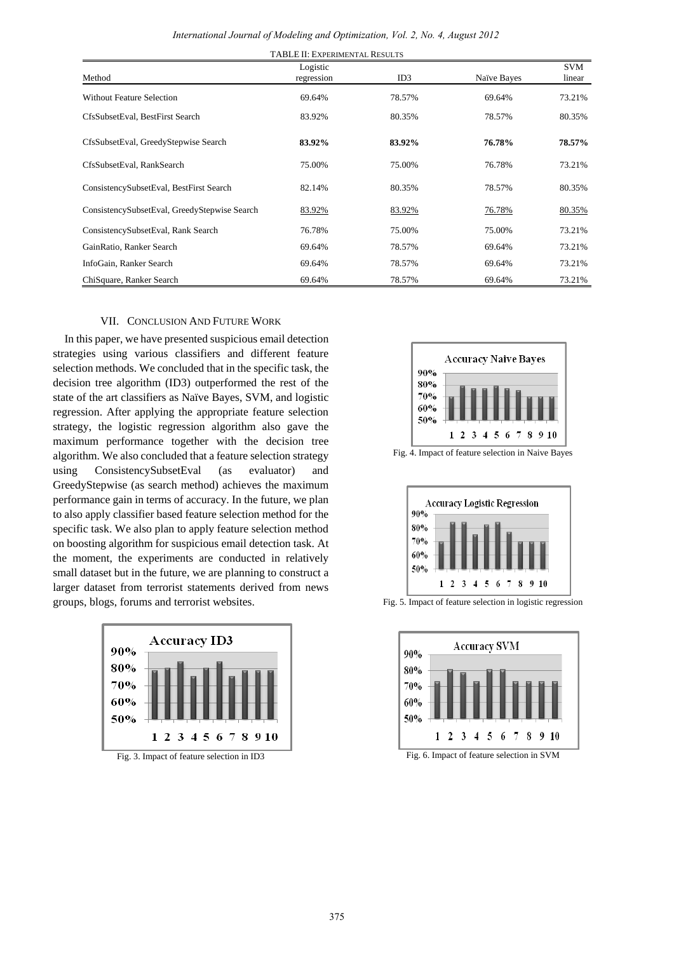| Method                                       | Logistic<br>regression | ID3    | Na ive Bayes | <b>SVM</b><br>linear |
|----------------------------------------------|------------------------|--------|--------------|----------------------|
| <b>Without Feature Selection</b>             | 69.64%                 | 78.57% | 69.64%       | 73.21%               |
| CfsSubsetEval, BestFirst Search              | 83.92%                 | 80.35% | 78.57%       | 80.35%               |
| CfsSubsetEval, GreedyStepwise Search         | 83.92%                 | 83.92% | 76.78%       | 78.57%               |
| CfsSubsetEval, RankSearch                    | 75.00%                 | 75.00% | 76.78%       | 73.21%               |
| ConsistencySubsetEval, BestFirst Search      | 82.14%                 | 80.35% | 78.57%       | 80.35%               |
| ConsistencySubsetEval, GreedyStepwise Search | 83.92%                 | 83.92% | 76.78%       | 80.35%               |
| ConsistencySubsetEval, Rank Search           | 76.78%                 | 75.00% | 75.00%       | 73.21%               |
| GainRatio, Ranker Search                     | 69.64%                 | 78.57% | 69.64%       | 73.21%               |
| InfoGain, Ranker Search                      | 69.64%                 | 78.57% | 69.64%       | 73.21%               |
| ChiSquare, Ranker Search                     | 69.64%                 | 78.57% | 69.64%       | 73.21%               |

# VII. CONCLUSION AND FUTURE WORK

In this paper, we have presented suspicious email detection strategies using various classifiers and different feature selection methods. We concluded that in the specific task, the decision tree algorithm (ID3) outperformed the rest of the state of the art classifiers as Na ïve Bayes, SVM, and logistic regression. After applying the appropriate feature selection strategy, the logistic regression algorithm also gave the maximum performance together with the decision tree algorithm. We also concluded that a feature selection strategy using ConsistencySubsetEval (as evaluator) and GreedyStepwise (as search method) achieves the maximum performance gain in terms of accuracy. In the future, we plan to also apply classifier based feature selection method for the specific task. We also plan to apply feature selection method on boosting algorithm for suspicious email detection task. At the moment, the experiments are conducted in relatively small dataset but in the future, we are planning to construct a larger dataset from terrorist statements derived from news groups, blogs, forums and terrorist websites.



Fig. 3. Impact of feature selection in ID3





Fig. 5. Impact of feature selection in logistic regression



Fig. 6. Impact of feature selection in SVM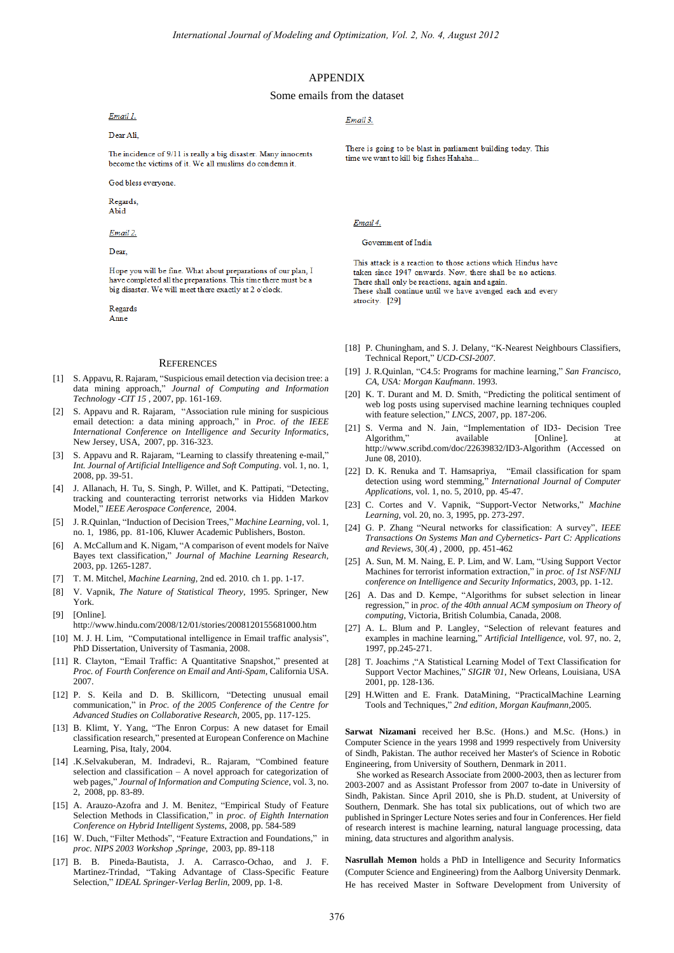#### APPENDIX

#### Some emails from the dataset

Email 1.

Dear Ali

The incidence of 9/11 is really a big disaster. Many innocents become the victims of it. We all muslims do condemn it.

God bless everyone.

Regards Abid

Email 2.

Dear

Hope you will be fine. What about preparations of our plan, I have completed all the preparations. This time there must be a big disaster. We will meet there exactly at 2 o'clock.

Regards

#### Anne

#### **REFERENCES**

- [1] S. Appavu, R. Rajaram, "Suspicious email detection via decision tree: a data mining approach," *Journal of Computing and Information Technology -CIT 15* , 2007, pp. 161-169.
- [2] S. Appavu and R. Rajaram, "Association rule mining for suspicious email detection: a data mining approach," in *Proc. of the IEEE International Conference on Intelligence and Security Informatics*, New Jersey, USA, 2007, pp. 316-323.
- [3] S. Appavu and R. Rajaram, "Learning to classify threatening e-mail," *Int. Journal of Artificial Intelligence and Soft Computing*. vol. 1, no. 1, 2008, pp. 39-51.
- [4] J. Allanach, H. Tu, S. Singh, P. Willet, and K. Pattipati, "Detecting, tracking and counteracting terrorist networks via Hidden Markov Model," *IEEE Aerospace Conference*, 2004.
- [5] J. R.Quinlan, "Induction of Decision Trees," *Machine Learning,* vol. 1, no. 1,1986, pp. 81-106, Kluwer Academic Publishers, Boston.
- [6] A. McCallum and K. Nigam, "A comparison of event models for Na  $\ddot{v}$ e Bayes text classification," *Journal of Machine Learning Research*, 2003, pp. 1265-1287.
- [7] T. M. Mitchel, *Machine Learning,* 2nd ed. 2010*.* ch 1. pp. 1-17.
- [8] V. Vapnik, *The Nature of Statistical Theory*, 1995. Springer, New York.
- [9] [Online]. http://www.hindu.com/2008/12/01/stories/2008120155681000.htm
- [10] M. J. H. Lim, "Computational intelligence in Email traffic analysis", PhD Dissertation, University of Tasmania, 2008.
- [11] R. Clayton, "Email Traffic: A Quantitative Snapshot," presented at *Proc. of Fourth Conference on Email and Anti-Spam*, California USA. 2007.
- [12] P. S. Keila and D. B. Skillicorn, "Detecting unusual email communication," in *Proc. of the 2005 Conference of the Centre for Advanced Studies on Collaborative Research,* 2005, pp. 117-125.
- [13] B. Klimt, Y. Yang, "The Enron Corpus: A new dataset for Email classification research*,*" presented at European Conference on Machine Learning, Pisa, Italy, 2004.
- [14] .K.Selvakuberan, M. Indradevi, R.. Rajaram, "Combined feature selection and classification – A novel approach for categorization of web pages," *Journal of Information and Computing Science,* vol. 3, no. 2, 2008, pp. 83-89.
- [15] A. Arauzo-Azofra and J. M. Benitez, "Empirical Study of Feature Selection Methods in Classification," in *proc. of Eighth Internation Conference on Hybrid Intelligent Systems*, 2008, pp. 584-589
- [16] W. Duch, "Filter Methods", "Feature Extraction and Foundations," in *proc. NIPS 2003 Workshop ,Springe*, 2003, pp. 89-118
- [17] B. B. Pineda-Bautista, J. A. Carrasco-Ochao, and J. F. Martinez-Trindad, "Taking Advantage of Class-Specific Feature Selection," *IDEAL Springer-Verlag Berlin*, 2009, pp. 1-8.

#### Email 3

There is going to be blast in parliament building today. This time we want to kill big fishes Hahaha.

#### Email 4.

#### Government of India

This attack is a reaction to those actions which Hindus have taken since 1947 onwards. Now, there shall be no actions. There shall only be reactions, again and again. These shall continue until we have avenged each and every atrocity. [29]

- [18] P. Chuningham, and S. J. Delany, "K-Nearest Neighbours Classifiers, Technical Report," *UCD-CSI-2007*.
- [19] J. R.Quinlan, "C4.5: Programs for machine learning," *San Francisco, CA, USA: Morgan Kaufmann*. 1993.
- [20] K. T. Durant and M. D. Smith, "Predicting the political sentiment of web log posts using supervised machine learning techniques coupled with feature selection," *LNCS*, 2007, pp. 187-206.
- [21] S. Verma and N. Jain, "Implementation of ID3- Decision Tree Algorithm," available [Online]. at <http://www.scribd.com/doc/22639832/ID3-Algorithm>(Accessed on June 08, 2010).
- [22] D. K. Renuka and T. Hamsapriya, "Email classification for spam detection using word stemming," *International Journal of Computer Applications*, vol. 1, no. 5, 2010, pp. 45-47.
- [23] C. Cortes and V. Vapnik, "Support-Vector Networks," *Machine Learning*, vol. 20, no. 3, 1995, pp. 273-297.
- [24] G. P. Zhang "Neural networks for classification: A survey", *IEEE Transactions On Systems Man and Cybernetics- Part C: Applications and Reviews*, 30(.4) , 2000, pp. 451-462
- [25] A. Sun, M. M. Naing, E. P. Lim, and W. Lam, "Using Support Vector Machines for terrorist information extraction," in *proc. of 1st NSF/NIJ conference on Intelligence and Security Informatics*, 2003, pp. 1-12.
- [26] A. Das and D. Kempe, "Algorithms for subset selection in linear regression," in *proc. of the 40th annual ACM symposium on Theory of computing*, Victoria, British Columbia, Canada, 2008.
- [27] A. L. Blum and P. Langley, "Selection of relevant features and examples in machine learning," *Artificial Intelligence*, vol. 97, no. 2, 1997, pp.245-271.
- [28] T. Joachims "A Statistical Learning Model of Text Classification for Support Vector Machines," *SIGIR '01*, New Orleans, Louisiana, USA 2001, pp. 128-136.
- [29] H.Witten and E. Frank. DataMining, "PracticalMachine Learning Tools and Techniques," *2nd edition, Morgan Kaufmann*,2005.

**Sarwat Nizamani** received her B.Sc. (Hons.) and M.Sc. (Hons.) in Computer Science in the years 1998 and 1999 respectively from University of Sindh, Pakistan. The author received her Master's of Science in Robotic Engineering, from University of Southern, Denmark in 2011.

 She worked as Research Associate from 2000-2003, then as lecturer from 2003-2007 and as Assistant Professor from 2007 to-date in University of Sindh, Pakistan. Since April 2010, she is Ph.D. student, at University of Southern, Denmark. She has total six publications, out of which two are published in Springer Lecture Notes series and four in Conferences. Her field of research interest is machine learning, natural language processing, data mining, data structures and algorithm analysis.

**Nasrullah Memon** holds a PhD in Intelligence and Security Informatics (Computer Science and Engineering) from the Aalborg University Denmark. He has received Master in Software Development from University of